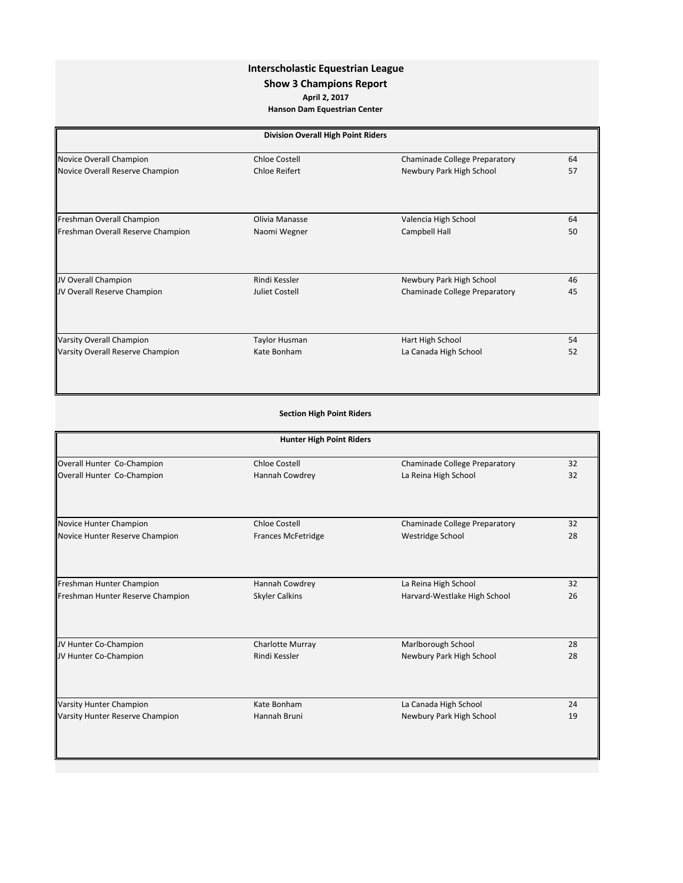## **Interscholastic Equestrian League**

## **Show 3 Champions Report**

**April 2, 2017**

**Hanson Dam Equestrian Center**

| <b>Division Overall High Point Riders</b> |                       |                               |    |
|-------------------------------------------|-----------------------|-------------------------------|----|
| Novice Overall Champion                   | <b>Chloe Costell</b>  | Chaminade College Preparatory | 64 |
| Novice Overall Reserve Champion           | <b>Chloe Reifert</b>  | Newbury Park High School      | 57 |
|                                           |                       |                               |    |
| Freshman Overall Champion                 | Olivia Manasse        | Valencia High School          | 64 |
| Freshman Overall Reserve Champion         | Naomi Wegner          | Campbell Hall                 | 50 |
|                                           |                       |                               |    |
| JV Overall Champion                       | Rindi Kessler         | Newbury Park High School      | 46 |
| JV Overall Reserve Champion               | <b>Juliet Costell</b> | Chaminade College Preparatory | 45 |
| Varsity Overall Champion                  | <b>Taylor Husman</b>  | Hart High School              | 54 |
| Varsity Overall Reserve Champion          | Kate Bonham           | La Canada High School         | 52 |
|                                           |                       |                               |    |

| <b>Section High Point Riders</b> |  |  |  |  |
|----------------------------------|--|--|--|--|
|----------------------------------|--|--|--|--|

| <b>Hunter High Point Riders</b>  |                           |                               |    |
|----------------------------------|---------------------------|-------------------------------|----|
| Overall Hunter Co-Champion       | <b>Chloe Costell</b>      | Chaminade College Preparatory | 32 |
| Overall Hunter Co-Champion       | Hannah Cowdrey            | La Reina High School          | 32 |
| Novice Hunter Champion           | <b>Chloe Costell</b>      | Chaminade College Preparatory | 32 |
| Novice Hunter Reserve Champion   | <b>Frances McFetridge</b> | <b>Westridge School</b>       | 28 |
| Freshman Hunter Champion         | Hannah Cowdrey            | La Reina High School          | 32 |
| Freshman Hunter Reserve Champion | <b>Skyler Calkins</b>     | Harvard-Westlake High School  | 26 |
| JV Hunter Co-Champion            | Charlotte Murray          | Marlborough School            | 28 |
| JV Hunter Co-Champion            | Rindi Kessler             | Newbury Park High School      | 28 |
| <b>Varsity Hunter Champion</b>   | Kate Bonham               | La Canada High School         | 24 |
| Varsity Hunter Reserve Champion  | Hannah Bruni              | Newbury Park High School      | 19 |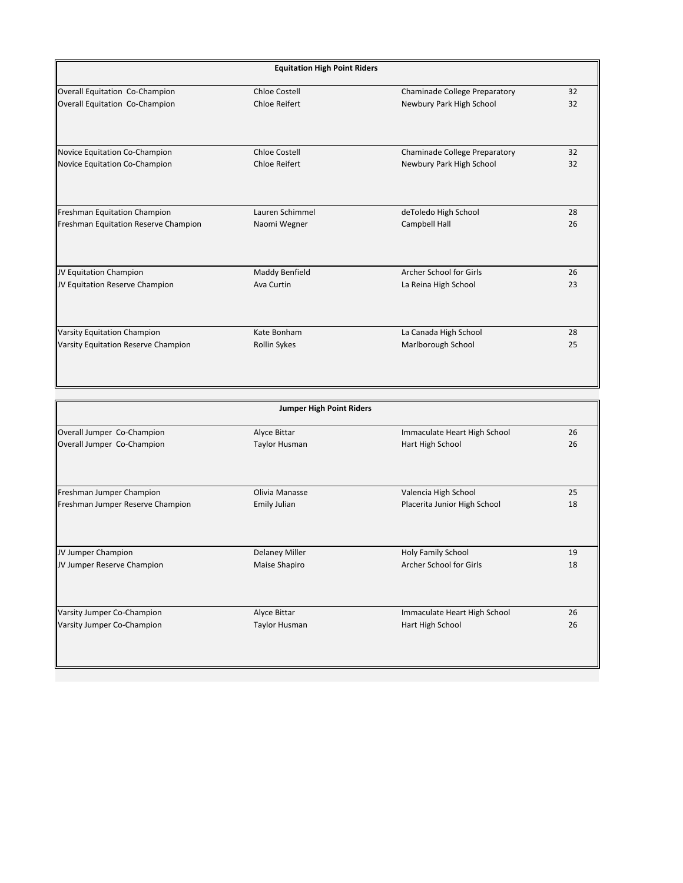| <b>Equitation High Point Riders</b>  |                     |                               |    |
|--------------------------------------|---------------------|-------------------------------|----|
| Overall Equitation Co-Champion       | Chloe Costell       | Chaminade College Preparatory | 32 |
| Overall Equitation Co-Champion       | Chloe Reifert       | Newbury Park High School      | 32 |
|                                      |                     |                               |    |
| Novice Equitation Co-Champion        | Chloe Costell       | Chaminade College Preparatory | 32 |
| Novice Equitation Co-Champion        | Chloe Reifert       | Newbury Park High School      | 32 |
|                                      |                     |                               |    |
| Freshman Equitation Champion         | Lauren Schimmel     | deToledo High School          | 28 |
| Freshman Equitation Reserve Champion | Naomi Wegner        | Campbell Hall                 | 26 |
|                                      |                     |                               |    |
| JV Equitation Champion               | Maddy Benfield      | Archer School for Girls       | 26 |
| JV Equitation Reserve Champion       | Ava Curtin          | La Reina High School          | 23 |
| Varsity Equitation Champion          | Kate Bonham         | La Canada High School         | 28 |
| Varsity Equitation Reserve Champion  | <b>Rollin Sykes</b> | Marlborough School            | 25 |
|                                      |                     |                               |    |

| <b>Jumper High Point Riders</b>  |                       |                              |    |
|----------------------------------|-----------------------|------------------------------|----|
| Overall Jumper Co-Champion       | Alyce Bittar          | Immaculate Heart High School | 26 |
| Overall Jumper Co-Champion       | Taylor Husman         | Hart High School             | 26 |
| Freshman Jumper Champion         | Olivia Manasse        | Valencia High School         | 25 |
| Freshman Jumper Reserve Champion | Emily Julian          | Placerita Junior High School | 18 |
|                                  |                       |                              |    |
| JV Jumper Champion               | <b>Delaney Miller</b> | Holy Family School           | 19 |
| JV Jumper Reserve Champion       | Maise Shapiro         | Archer School for Girls      | 18 |
| Varsity Jumper Co-Champion       | Alyce Bittar          | Immaculate Heart High School | 26 |
| Varsity Jumper Co-Champion       | Taylor Husman         | Hart High School             | 26 |
|                                  |                       |                              |    |
|                                  |                       |                              |    |